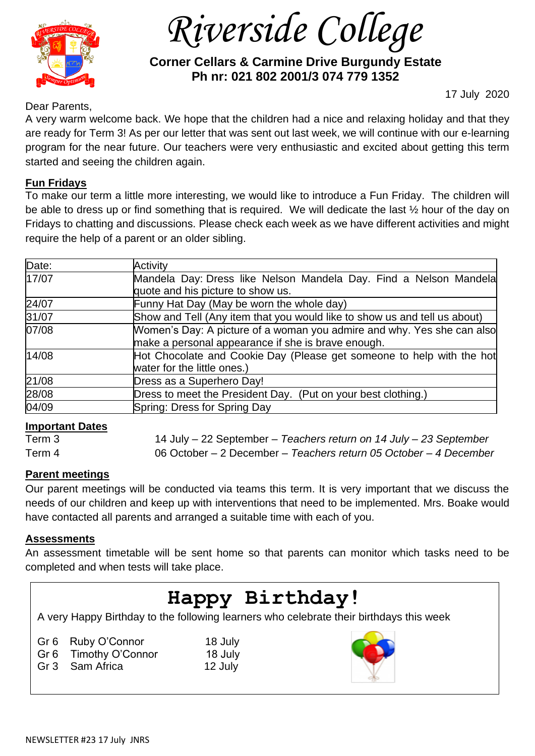

 *Riverside College*

# **Corner Cellars & Carmine Drive Burgundy Estate Ph nr: 021 802 2001/3 074 779 1352**

Dear Parents,

17 July 2020

A very warm welcome back. We hope that the children had a nice and relaxing holiday and that they are ready for Term 3! As per our letter that was sent out last week, we will continue with our e-learning program for the near future. Our teachers were very enthusiastic and excited about getting this term started and seeing the children again.

### **Fun Fridays**

To make our term a little more interesting, we would like to introduce a Fun Friday. The children will be able to dress up or find something that is required. We will dedicate the last ½ hour of the day on Fridays to chatting and discussions. Please check each week as we have different activities and might require the help of a parent or an older sibling.

| Date: | Activity                                                                  |
|-------|---------------------------------------------------------------------------|
| 17/07 | Mandela Day: Dress like Nelson Mandela Day. Find a Nelson Mandela         |
|       | quote and his picture to show us.                                         |
| 24/07 | Funny Hat Day (May be worn the whole day)                                 |
| 31/07 | Show and Tell (Any item that you would like to show us and tell us about) |
| 07/08 | Women's Day: A picture of a woman you admire and why. Yes she can also    |
|       | make a personal appearance if she is brave enough.                        |
| 14/08 | Hot Chocolate and Cookie Day (Please get someone to help with the hot     |
|       | water for the little ones.)                                               |
| 21/08 | Dress as a Superhero Day!                                                 |
| 28/08 | Dress to meet the President Day. (Put on your best clothing.)             |
| 04/09 | Spring: Dress for Spring Day                                              |

#### **Important Dates**

Term 3 14 July – 22 September – *Teachers return on 14 July – 23 September* Term 4 06 October – 2 December – *Teachers return 05 October – 4 December*

## **Parent meetings**

Our parent meetings will be conducted via teams this term. It is very important that we discuss the needs of our children and keep up with interventions that need to be implemented. Mrs. Boake would have contacted all parents and arranged a suitable time with each of you.

#### **Assessments**

An assessment timetable will be sent home so that parents can monitor which tasks need to be completed and when tests will take place.

# **Happy Birthday!**

A very Happy Birthday to the following learners who celebrate their birthdays this week

| Gr 6 Ruby O'Connor                                                                                                      |
|-------------------------------------------------------------------------------------------------------------------------|
| Gr 6 Timothy O'Connor                                                                                                   |
| $\bigcap_{x} \bigcap_{x} \bigcap_{x} \bigcap_{x} \bigcap_{x} \bigcap_{x} \bigsubseteq_{x} \bigcap_{x} \bigsubseteq_{x}$ |

Gr 3 Sam Africa 12 July

18 July 18 July